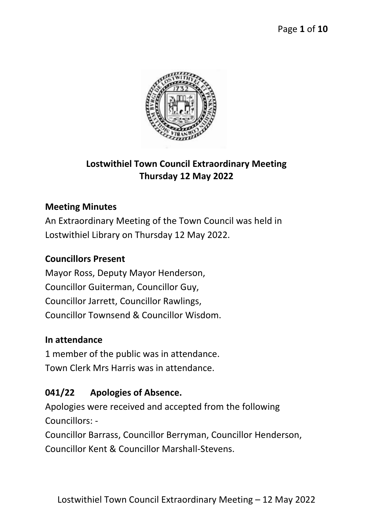

# **Lostwithiel Town Council Extraordinary Meeting Thursday 12 May 2022**

#### **Meeting Minutes**

An Extraordinary Meeting of the Town Council was held in Lostwithiel Library on Thursday 12 May 2022.

#### **Councillors Present**

Mayor Ross, Deputy Mayor Henderson, Councillor Guiterman, Councillor Guy, Councillor Jarrett, Councillor Rawlings, Councillor Townsend & Councillor Wisdom.

#### **In attendance**

1 member of the public was in attendance. Town Clerk Mrs Harris was in attendance.

#### **041/22 Apologies of Absence.**

Apologies were received and accepted from the following Councillors: -

Councillor Barrass, Councillor Berryman, Councillor Henderson, Councillor Kent & Councillor Marshall-Stevens.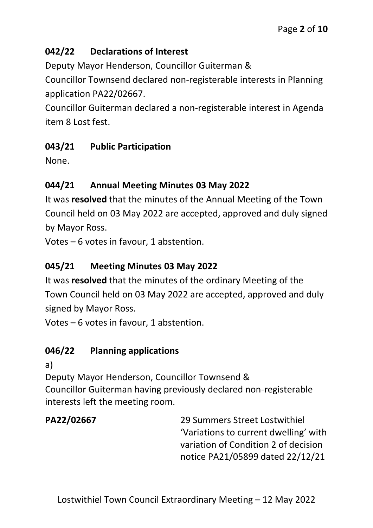### **042/22 Declarations of Interest**

Deputy Mayor Henderson, Councillor Guiterman &

Councillor Townsend declared non-registerable interests in Planning application PA22/02667.

Councillor Guiterman declared a non-registerable interest in Agenda item 8 Lost fest.

### **043/21 Public Participation**

None.

# **044/21 Annual Meeting Minutes 03 May 2022**

It was **resolved** that the minutes of the Annual Meeting of the Town Council held on 03 May 2022 are accepted, approved and duly signed by Mayor Ross.

Votes – 6 votes in favour, 1 abstention.

# **045/21 Meeting Minutes 03 May 2022**

It was **resolved** that the minutes of the ordinary Meeting of the Town Council held on 03 May 2022 are accepted, approved and duly signed by Mayor Ross.

Votes – 6 votes in favour, 1 abstention.

# **046/22 Planning applications**

a)

Deputy Mayor Henderson, Councillor Townsend & Councillor Guiterman having previously declared non-registerable interests left the meeting room.

**PA22/02667** 29 Summers Street Lostwithiel 'Variations to current dwelling' with variation of Condition 2 of decision notice PA21/05899 dated 22/12/21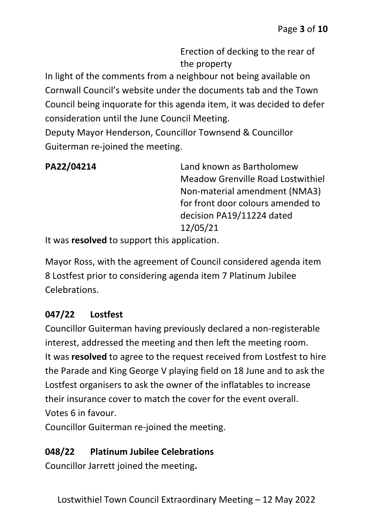Erection of decking to the rear of the property

In light of the comments from a neighbour not being available on Cornwall Council's website under the documents tab and the Town Council being inquorate for this agenda item, it was decided to defer consideration until the June Council Meeting.

Deputy Mayor Henderson, Councillor Townsend & Councillor Guiterman re-joined the meeting.

**PA22/04214** Land known as Bartholomew Meadow Grenville Road Lostwithiel Non-material amendment (NMA3) for front door colours amended to decision PA19/11224 dated 12/05/21

It was **resolved** to support this application.

Mayor Ross, with the agreement of Council considered agenda item 8 Lostfest prior to considering agenda item 7 Platinum Jubilee Celebrations.

#### **047/22 Lostfest**

Councillor Guiterman having previously declared a non-registerable interest, addressed the meeting and then left the meeting room. It was **resolved** to agree to the request received from Lostfest to hire the Parade and King George V playing field on 18 June and to ask the Lostfest organisers to ask the owner of the inflatables to increase their insurance cover to match the cover for the event overall. Votes 6 in favour.

Councillor Guiterman re-joined the meeting.

#### **048/22 Platinum Jubilee Celebrations**

Councillor Jarrett joined the meeting**.**

Lostwithiel Town Council Extraordinary Meeting – 12 May 2022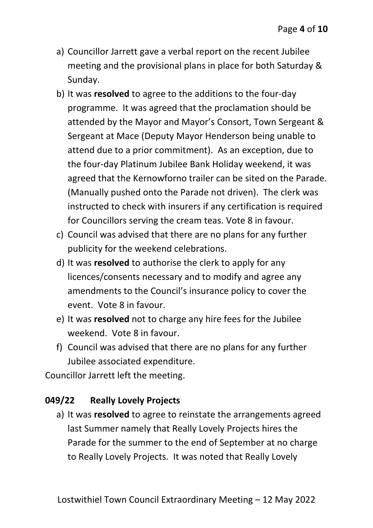- a) Councillor Jarrett gave a verbal report on the recent Jubilee meeting and the provisional plans in place for both Saturday & Sunday.
- b) It was **resolved** to agree to the additions to the four-day programme. It was agreed that the proclamation should be attended by the Mayor and Mayor's Consort, Town Sergeant & Sergeant at Mace (Deputy Mayor Henderson being unable to attend due to a prior commitment). As an exception, due to the four-day Platinum Jubilee Bank Holiday weekend, it was agreed that the Kernowforno trailer can be sited on the Parade. (Manually pushed onto the Parade not driven). The clerk was instructed to check with insurers if any certification is required for Councillors serving the cream teas. Vote 8 in favour.
- c) Council was advised that there are no plans for any further publicity for the weekend celebrations.
- d) It was **resolved** to authorise the clerk to apply for any licences/consents necessary and to modify and agree any amendments to the Council's insurance policy to cover the event. Vote 8 in favour.
- e) It was **resolved** not to charge any hire fees for the Jubilee weekend. Vote 8 in favour.
- f) Council was advised that there are no plans for any further Jubilee associated expenditure.

Councillor Jarrett left the meeting.

#### **049/22 Really Lovely Projects**

a) It was **resolved** to agree to reinstate the arrangements agreed last Summer namely that Really Lovely Projects hires the Parade for the summer to the end of September at no charge to Really Lovely Projects. It was noted that Really Lovely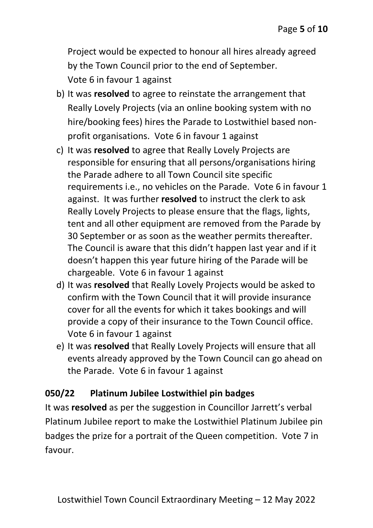Project would be expected to honour all hires already agreed by the Town Council prior to the end of September. Vote 6 in favour 1 against

- b) It was **resolved** to agree to reinstate the arrangement that Really Lovely Projects (via an online booking system with no hire/booking fees) hires the Parade to Lostwithiel based nonprofit organisations. Vote 6 in favour 1 against
- c) It was **resolved** to agree that Really Lovely Projects are responsible for ensuring that all persons/organisations hiring the Parade adhere to all Town Council site specific requirements i.e., no vehicles on the Parade. Vote 6 in favour 1 against. It was further **resolved** to instruct the clerk to ask Really Lovely Projects to please ensure that the flags, lights, tent and all other equipment are removed from the Parade by 30 September or as soon as the weather permits thereafter. The Council is aware that this didn't happen last year and if it doesn't happen this year future hiring of the Parade will be chargeable. Vote 6 in favour 1 against
- d) It was **resolved** that Really Lovely Projects would be asked to confirm with the Town Council that it will provide insurance cover for all the events for which it takes bookings and will provide a copy of their insurance to the Town Council office. Vote 6 in favour 1 against
- e) It was **resolved** that Really Lovely Projects will ensure that all events already approved by the Town Council can go ahead on the Parade. Vote 6 in favour 1 against

#### **050/22 Platinum Jubilee Lostwithiel pin badges**

It was **resolved** as per the suggestion in Councillor Jarrett's verbal Platinum Jubilee report to make the Lostwithiel Platinum Jubilee pin badges the prize for a portrait of the Queen competition. Vote 7 in favour.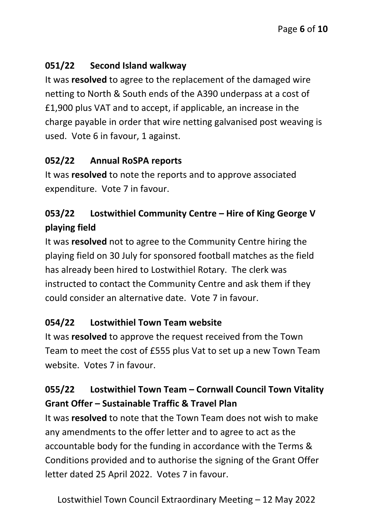# **051/22 Second Island walkway**

It was **resolved** to agree to the replacement of the damaged wire netting to North & South ends of the A390 underpass at a cost of £1,900 plus VAT and to accept, if applicable, an increase in the charge payable in order that wire netting galvanised post weaving is used. Vote 6 in favour, 1 against.

### **052/22 Annual RoSPA reports**

It was **resolved** to note the reports and to approve associated expenditure. Vote 7 in favour.

# **053/22 Lostwithiel Community Centre – Hire of King George V playing field**

It was **resolved** not to agree to the Community Centre hiring the playing field on 30 July for sponsored football matches as the field has already been hired to Lostwithiel Rotary. The clerk was instructed to contact the Community Centre and ask them if they could consider an alternative date. Vote 7 in favour.

# **054/22 Lostwithiel Town Team website**

It was **resolved** to approve the request received from the Town Team to meet the cost of £555 plus Vat to set up a new Town Team website. Votes 7 in favour.

# **055/22 Lostwithiel Town Team – Cornwall Council Town Vitality Grant Offer – Sustainable Traffic & Travel Plan**

It was **resolved** to note that the Town Team does not wish to make any amendments to the offer letter and to agree to act as the accountable body for the funding in accordance with the Terms & Conditions provided and to authorise the signing of the Grant Offer letter dated 25 April 2022. Votes 7 in favour.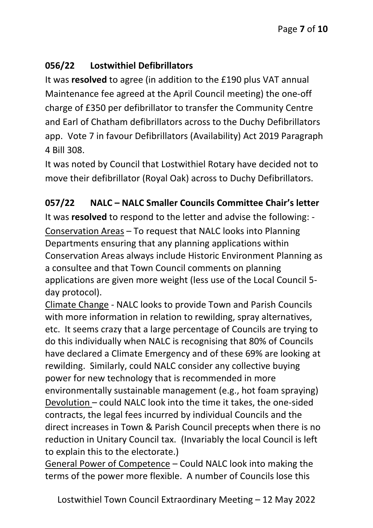### **056/22 Lostwithiel Defibrillators**

It was **resolved** to agree (in addition to the £190 plus VAT annual Maintenance fee agreed at the April Council meeting) the one-off charge of £350 per defibrillator to transfer the Community Centre and Earl of Chatham defibrillators across to the Duchy Defibrillators app. Vote 7 in favour Defibrillators (Availability) Act 2019 Paragraph 4 Bill 308.

It was noted by Council that Lostwithiel Rotary have decided not to move their defibrillator (Royal Oak) across to Duchy Defibrillators.

### **057/22 NALC – NALC Smaller Councils Committee Chair's letter**

It was **resolved** to respond to the letter and advise the following: - Conservation Areas – To request that NALC looks into Planning Departments ensuring that any planning applications within Conservation Areas always include Historic Environment Planning as a consultee and that Town Council comments on planning applications are given more weight (less use of the Local Council 5 day protocol).

Climate Change - NALC looks to provide Town and Parish Councils with more information in relation to rewilding, spray alternatives, etc. It seems crazy that a large percentage of Councils are trying to do this individually when NALC is recognising that 80% of Councils have declared a Climate Emergency and of these 69% are looking at rewilding. Similarly, could NALC consider any collective buying power for new technology that is recommended in more environmentally sustainable management (e.g., hot foam spraying) Devolution – could NALC look into the time it takes, the one-sided contracts, the legal fees incurred by individual Councils and the direct increases in Town & Parish Council precepts when there is no reduction in Unitary Council tax. (Invariably the local Council is left to explain this to the electorate.)

General Power of Competence – Could NALC look into making the terms of the power more flexible. A number of Councils lose this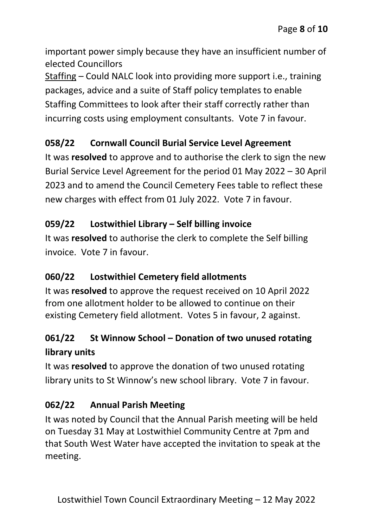important power simply because they have an insufficient number of elected Councillors

Staffing – Could NALC look into providing more support i.e., training packages, advice and a suite of Staff policy templates to enable Staffing Committees to look after their staff correctly rather than incurring costs using employment consultants. Vote 7 in favour.

### **058/22 Cornwall Council Burial Service Level Agreement**

It was **resolved** to approve and to authorise the clerk to sign the new Burial Service Level Agreement for the period 01 May 2022 – 30 April 2023 and to amend the Council Cemetery Fees table to reflect these new charges with effect from 01 July 2022. Vote 7 in favour.

### **059/22 Lostwithiel Library – Self billing invoice**

It was **resolved** to authorise the clerk to complete the Self billing invoice. Vote 7 in favour.

# **060/22 Lostwithiel Cemetery field allotments**

It was **resolved** to approve the request received on 10 April 2022 from one allotment holder to be allowed to continue on their existing Cemetery field allotment. Votes 5 in favour, 2 against.

# **061/22 St Winnow School – Donation of two unused rotating library units**

It was **resolved** to approve the donation of two unused rotating library units to St Winnow's new school library. Vote 7 in favour.

#### **062/22 Annual Parish Meeting**

It was noted by Council that the Annual Parish meeting will be held on Tuesday 31 May at Lostwithiel Community Centre at 7pm and that South West Water have accepted the invitation to speak at the meeting.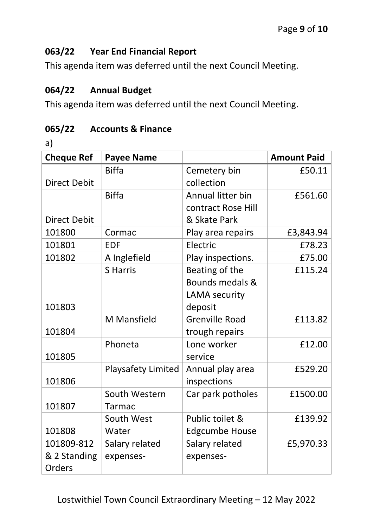#### **063/22 Year End Financial Report**

This agenda item was deferred until the next Council Meeting.

#### **064/22 Annual Budget**

This agenda item was deferred until the next Council Meeting.

#### **065/22 Accounts & Finance**

a)

| <b>Cheque Ref</b>   | <b>Payee Name</b>         |                       | <b>Amount Paid</b> |
|---------------------|---------------------------|-----------------------|--------------------|
|                     | <b>Biffa</b>              | Cemetery bin          | £50.11             |
| <b>Direct Debit</b> |                           | collection            |                    |
|                     | <b>Biffa</b>              | Annual litter bin     | £561.60            |
|                     |                           | contract Rose Hill    |                    |
| <b>Direct Debit</b> |                           | & Skate Park          |                    |
| 101800              | Cormac                    | Play area repairs     | £3,843.94          |
| 101801              | <b>EDF</b>                | Electric              | £78.23             |
| 101802              | A Inglefield              | Play inspections.     | £75.00             |
|                     | <b>S</b> Harris           | Beating of the        | £115.24            |
|                     |                           | Bounds medals &       |                    |
|                     |                           | LAMA security         |                    |
| 101803              |                           | deposit               |                    |
|                     | <b>M</b> Mansfield        | <b>Grenville Road</b> | £113.82            |
| 101804              |                           | trough repairs        |                    |
|                     | Phoneta                   | Lone worker           | £12.00             |
| 101805              |                           | service               |                    |
|                     | <b>Playsafety Limited</b> | Annual play area      | £529.20            |
| 101806              |                           | inspections           |                    |
|                     | South Western             | Car park potholes     | £1500.00           |
| 101807              | <b>Tarmac</b>             |                       |                    |
|                     | South West                | Public toilet &       | £139.92            |
| 101808              | Water                     | <b>Edgcumbe House</b> |                    |
| 101809-812          | Salary related            | Salary related        | £5,970.33          |
| & 2 Standing        | expenses-                 | expenses-             |                    |
| Orders              |                           |                       |                    |